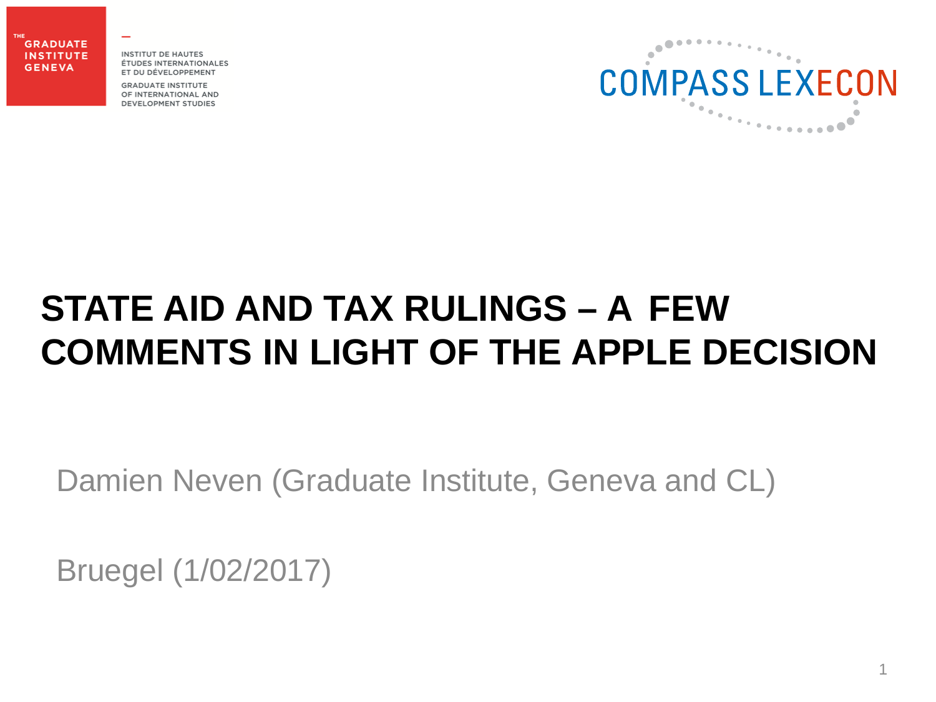THE **GRADUATE INSTITUTE GENEVA** 

**INSTITUT DE HAUTES** ÉTUDES INTERNATIONALES ET DU DÉVELOPPEMENT

**GRADUATE INSTITUTE** OF INTERNATIONAL AND DEVELOPMENT STUDIES



## **STATE AID AND TAX RULINGS – A FEW COMMENTS IN LIGHT OF THE APPLE DECISION**

Damien Neven (Graduate Institute, Geneva and CL)

Bruegel (1/02/2017)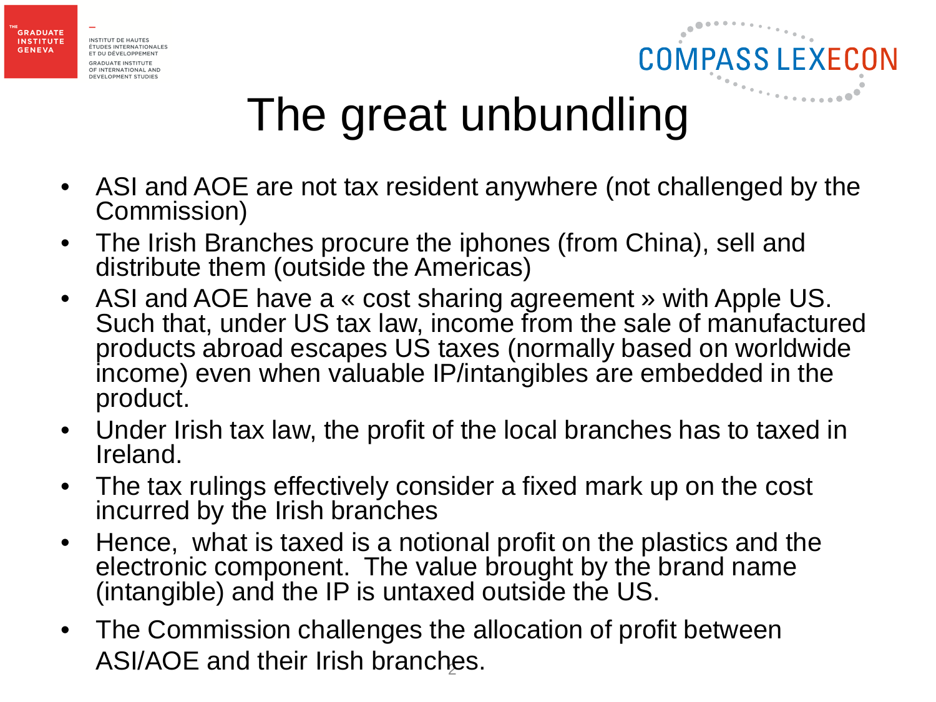

**GRADUATE INSTITUTE** 

**GENEVA** 





## The great unbundling

- ASI and AOE are not tax resident anywhere (not challenged by the Commission)
- The Irish Branches procure the iphones (from China), sell and distribute them (outside the Americas)
- ASI and AOE have a « cost sharing agreement » with Apple US. Such that, under US tax law, income from the sale of manufactured products abroad escapes US taxes (normally based on worldwide income) even when valuable IP/intangibles are embedded in the product.
- Under Irish tax law, the profit of the local branches has to taxed in Ireland.
- The tax rulings effectively consider a fixed mark up on the cost incurred by the Irish branches
- Hence, what is taxed is a notional profit on the plastics and the electronic component. The value brought by the brand name (intangible) and the IP is untaxed outside the US.
- ASI/AOE and their Irish branches. • The Commission challenges the allocation of profit between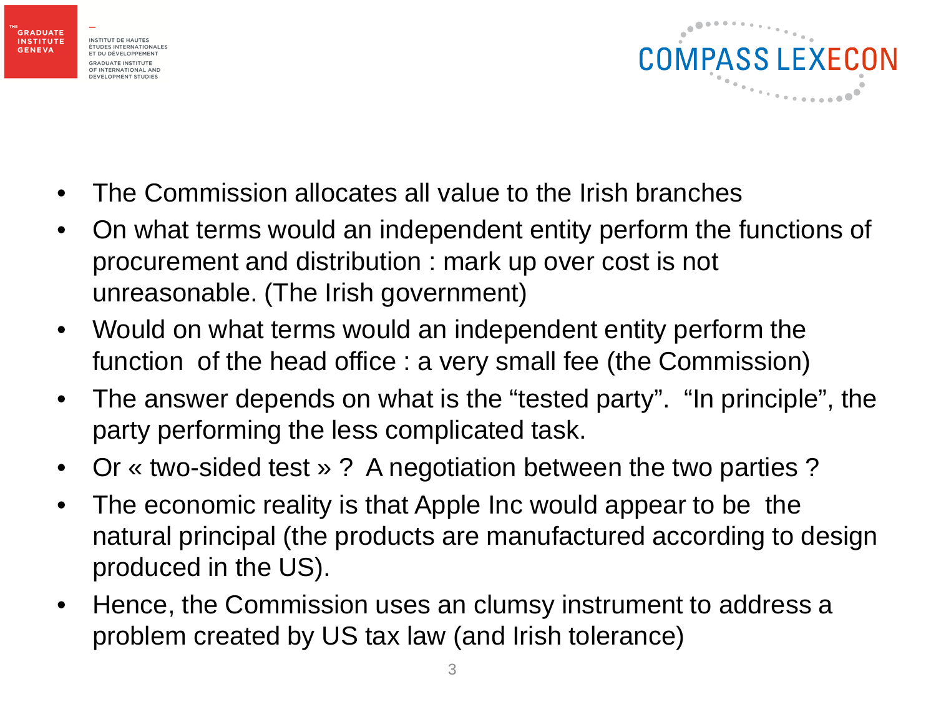

INSTITUT DE HAUTES ÉTUDES INTERNATIONALES ET DU DÉVELOPPEMENT **GRADUATE INSTITUTE** OF INTERNATIONAL AND DEVELOPMENT STUDIES



- The Commission allocates all value to the Irish branches
- On what terms would an independent entity perform the functions of procurement and distribution : mark up over cost is not unreasonable. (The Irish government)
- Would on what terms would an independent entity perform the function of the head office : a very small fee (the Commission)
- The answer depends on what is the "tested party". "In principle", the party performing the less complicated task.
- Or « two-sided test » ? A negotiation between the two parties ?
- The economic reality is that Apple Inc would appear to be the natural principal (the products are manufactured according to design produced in the US).
- Hence, the Commission uses an clumsy instrument to address a problem created by US tax law (and Irish tolerance)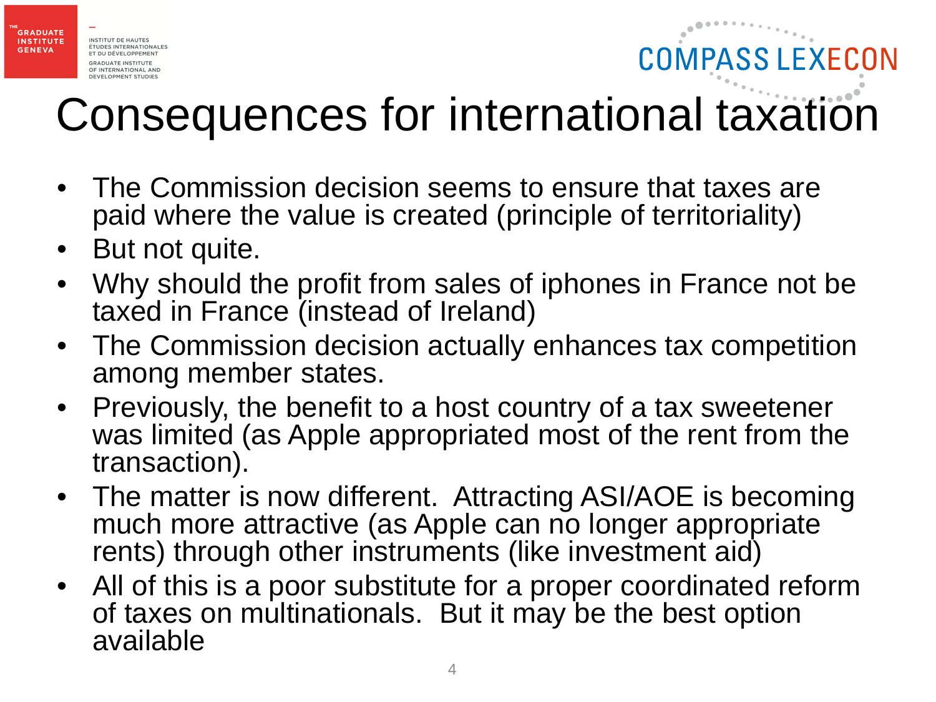

**GRADUATE INSTITUTE** 

**GENEVA** 

ÉTUDES INTERNATIONALES ET DU DÉVELOPPEMENT OF INTERNATIONAL AND DEVELOPMENT STUDIES

## Consequences for international taxation

**COMPASS LEXECON** 

- The Commission decision seems to ensure that taxes are paid where the value is created (principle of territoriality)
- But not quite.
- Why should the profit from sales of iphones in France not be taxed in France (instead of Ireland)
- The Commission decision actually enhances tax competition among member states.
- Previously, the benefit to a host country of a tax sweetener was limited (as Apple appropriated most of the rent from the transaction).
- The matter is now different. Attracting ASI/AOE is becoming much more attractive (as Apple can no longer appropriate rents) through other instruments (like investment aid)
- All of this is a poor substitute for a proper coordinated reform of taxes on multinationals. But it may be the best option available